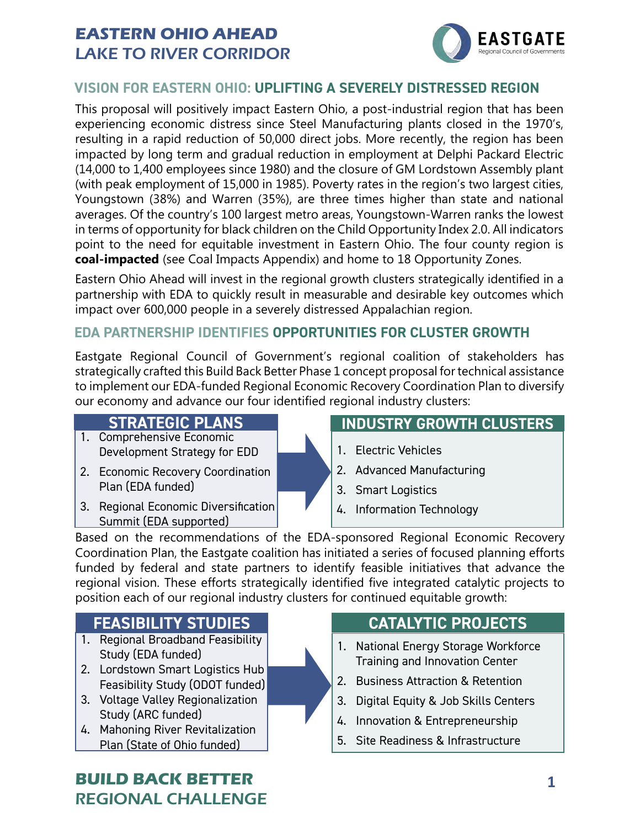

#### **VISION FOR EASTERN OHIO: UPLIFTING A SEVERELY DISTRESSED REGION**

This proposal will positively impact Eastern Ohio, a post-industrial region that has been experiencing economic distress since Steel Manufacturing plants closed in the 1970's, resulting in a rapid reduction of 50,000 direct jobs. More recently, the region has been impacted by long term and gradual reduction in employment at Delphi Packard Electric (14,000 to 1,400 employees since 1980) and the closure of GM Lordstown Assembly plant (with peak employment of 15,000 in 1985). Poverty rates in the region's two largest cities, Youngstown (38%) and Warren (35%), are three times higher than state and national averages. Of the country's 100 largest metro areas, Youngstown-Warren ranks the lowest in terms of opportunity for black children on the Child Opportunity Index 2.0. All indicators point to the need for equitable investment in Eastern Ohio. The four county region is **coal-impacted** (see Coal Impacts Appendix) and home to 18 Opportunity Zones.

Eastern Ohio Ahead will invest in the regional growth clusters strategically identified in a partnership with EDA to quickly result in measurable and desirable key outcomes which impact over 600,000 people in a severely distressed Appalachian region.

#### **EDA PARTNERSHIP IDENTIFIES OPPORTUNITIES FOR CLUSTER GROWTH**

Eastgate Regional Council of Government's regional coalition of stakeholders has strategically crafted this Build Back Better Phase 1 concept proposal for technical assistance to implement our EDA-funded Regional Economic Recovery Coordination Plan to diversify our economy and advance our four identified regional industry clusters:

#### **STRATEGIC PLANS**

- 1. Comprehensive Economic Development Strategy for EDD
- 2. Economic Recovery Coordination Plan (EDA funded)
- 3. Regional Economic Diversification Summit (EDA supported)

#### **INDUSTRY GROWTH CLUSTERS**

- 1. Electric Vehicles
- 2. Advanced Manufacturing
- 3. Smart Logistics
- 4. Information Technology

Based on the recommendations of the EDA-sponsored Regional Economic Recovery Coordination Plan, the Eastgate coalition has initiated a series of focused planning efforts funded by federal and state partners to identify feasible initiatives that advance the regional vision. These efforts strategically identified five integrated catalytic projects to position each of our regional industry clusters for continued equitable growth:

#### **FEASIBILITY STUDIES**

- 1. Regional Broadband Feasibility Study (EDA funded)
- 2. Lordstown Smart Logistics Hub Feasibility Study (ODOT funded)
- 3. Voltage Valley Regionalization Study (ARC funded)
- 4. Mahoning River Revitalization Plan (State of Ohio funded)

## **BUILD BACK BETTER** REGIONAL CHALLENGE

#### **CATALYTIC PROJECTS**

- 1. National Energy Storage Workforce Training and Innovation Center
- 2. Business Attraction & Retention
- 3. Digital Equity & Job Skills Centers
- 4. Innovation & Entrepreneurship
- 5. Site Readiness & Infrastructure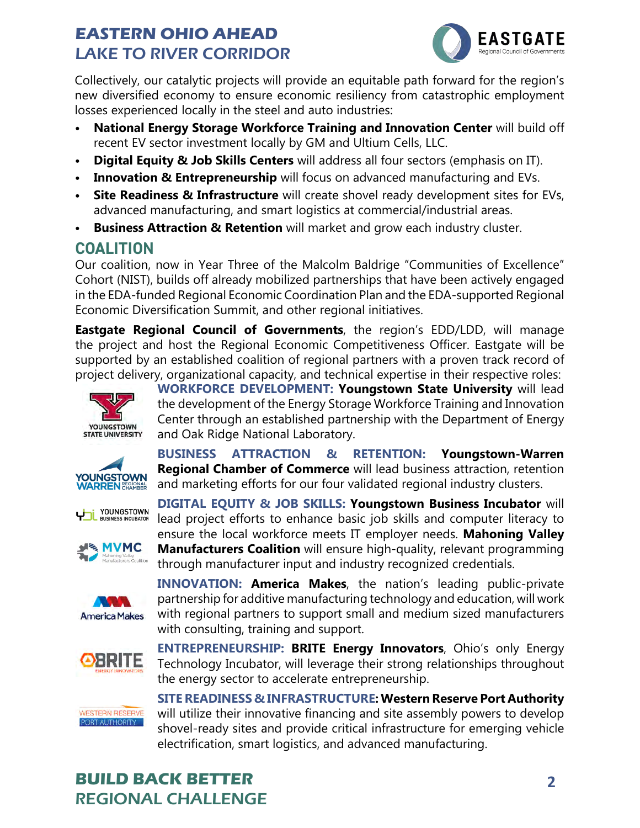

Collectively, our catalytic projects will provide an equitable path forward for the region's new diversified economy to ensure economic resiliency from catastrophic employment losses experienced locally in the steel and auto industries:

- **• National Energy Storage Workforce Training and Innovation Center** will build off recent EV sector investment locally by GM and Ultium Cells, LLC.
- **• Digital Equity & Job Skills Centers** will address all four sectors (emphasis on IT).
- **Innovation & Entrepreneurship** will focus on advanced manufacturing and EVs.
- **Site Readiness & Infrastructure** will create shovel ready development sites for EVs, advanced manufacturing, and smart logistics at commercial/industrial areas.
- **• Business Attraction & Retention** will market and grow each industry cluster.

## **COALITION**

Our coalition, now in Year Three of the Malcolm Baldrige "Communities of Excellence" Cohort (NIST), builds off already mobilized partnerships that have been actively engaged in the EDA-funded Regional Economic Coordination Plan and the EDA-supported Regional Economic Diversification Summit, and other regional initiatives.

**Eastgate Regional Council of Governments**, the region's EDD/LDD, will manage the project and host the Regional Economic Competitiveness Officer. Eastgate will be supported by an established coalition of regional partners with a proven track record of project delivery, organizational capacity, and technical expertise in their respective roles:



**WORKFORCE DEVELOPMENT: Youngstown State University** will lead the development of the Energy Storage Workforce Training and Innovation Center through an established partnership with the Department of Energy and Oak Ridge National Laboratory.

**BUSINESS ATTRACTION & RETENTION: Youngstown-Warren Regional Chamber of Commerce** will lead business attraction, retention and marketing efforts for our four validated regional industry clusters.

**DIGITAL EQUITY & JOB SKILLS: Youngstown Business Incubator** will







lead project efforts to enhance basic job skills and computer literacy to ensure the local workforce meets IT employer needs. **Mahoning Valley Manufacturers Coalition** will ensure high-quality, relevant programming through manufacturer input and industry recognized credentials.



**INNOVATION: America Makes**, the nation's leading public-private partnership for additive manufacturing technology and education, will work with regional partners to support small and medium sized manufacturers with consulting, training and support.



**ENTREPRENEURSHIP: BRITE Energy Innovators**, Ohio's only Energy Technology Incubator, will leverage their strong relationships throughout the energy sector to accelerate entrepreneurship.



**SITE READINESS & INFRASTRUCTURE: Western Reserve Port Authority**  will utilize their innovative financing and site assembly powers to develop shovel-ready sites and provide critical infrastructure for emerging vehicle electrification, smart logistics, and advanced manufacturing.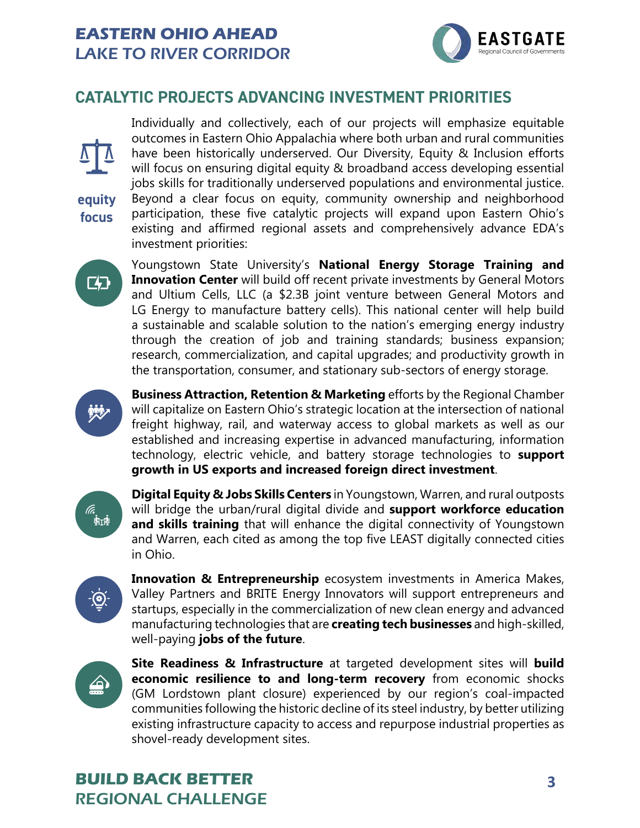

### **CATALYTIC PROJECTS ADVANCING INVESTMENT PRIORITIES**



**equity focus**

Individually and collectively, each of our projects will emphasize equitable outcomes in Eastern Ohio Appalachia where both urban and rural communities have been historically underserved. Our Diversity, Equity & Inclusion efforts will focus on ensuring digital equity & broadband access developing essential jobs skills for traditionally underserved populations and environmental justice. Beyond a clear focus on equity, community ownership and neighborhood participation, these five catalytic projects will expand upon Eastern Ohio's existing and affirmed regional assets and comprehensively advance EDA's investment priorities:



Youngstown State University's **National Energy Storage Training and Innovation Center** will build off recent private investments by General Motors and Ultium Cells, LLC (a \$2.3B joint venture between General Motors and LG Energy to manufacture battery cells). This national center will help build a sustainable and scalable solution to the nation's emerging energy industry through the creation of job and training standards; business expansion; research, commercialization, and capital upgrades; and productivity growth in the transportation, consumer, and stationary sub-sectors of energy storage.



**Business Attraction, Retention & Marketing** efforts by the Regional Chamber will capitalize on Eastern Ohio's strategic location at the intersection of national freight highway, rail, and waterway access to global markets as well as our established and increasing expertise in advanced manufacturing, information technology, electric vehicle, and battery storage technologies to **support growth in US exports and increased foreign direct investment**.



**Digital Equity & Jobs Skills Centers** in Youngstown, Warren, and rural outposts will bridge the urban/rural digital divide and **support workforce education and skills training** that will enhance the digital connectivity of Youngstown and Warren, each cited as among the top five LEAST digitally connected cities in Ohio.



**Innovation & Entrepreneurship** ecosystem investments in America Makes, Valley Partners and BRITE Energy Innovators will support entrepreneurs and startups, especially in the commercialization of new clean energy and advanced manufacturing technologies that are **creating tech businesses** and high-skilled, well-paying **jobs of the future**.



**Site Readiness & Infrastructure** at targeted development sites will **build economic resilience to and long-term recovery** from economic shocks (GM Lordstown plant closure) experienced by our region's coal-impacted communities following the historic decline of its steel industry, by better utilizing existing infrastructure capacity to access and repurpose industrial properties as shovel-ready development sites.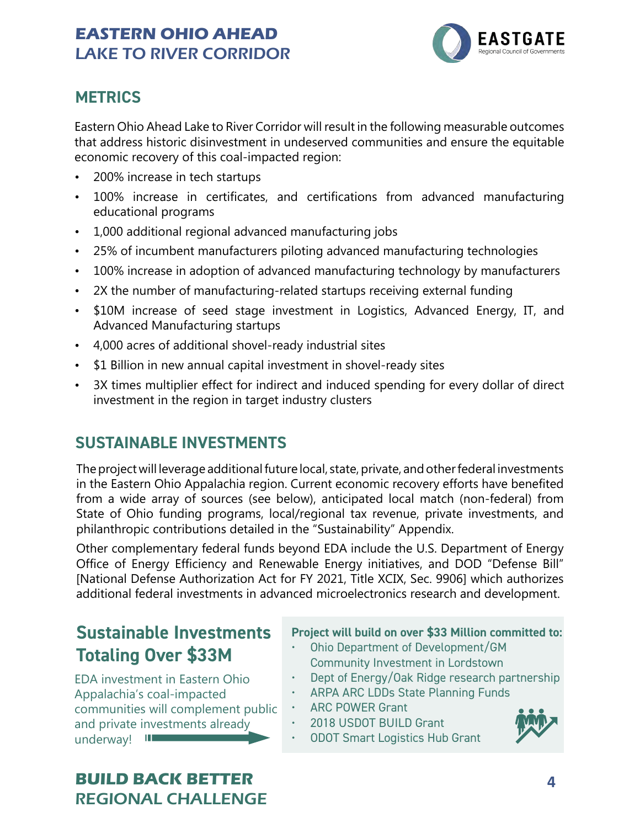

### **METRICS**

Eastern Ohio Ahead Lake to River Corridor will result in the following measurable outcomes that address historic disinvestment in undeserved communities and ensure the equitable economic recovery of this coal-impacted region:

- 200% increase in tech startups
- 100% increase in certificates, and certifications from advanced manufacturing educational programs
- 1,000 additional regional advanced manufacturing jobs
- 25% of incumbent manufacturers piloting advanced manufacturing technologies
- 100% increase in adoption of advanced manufacturing technology by manufacturers
- 2X the number of manufacturing-related startups receiving external funding
- \$10M increase of seed stage investment in Logistics, Advanced Energy, IT, and Advanced Manufacturing startups
- 4,000 acres of additional shovel-ready industrial sites
- \$1 Billion in new annual capital investment in shovel-ready sites
- 3X times multiplier effect for indirect and induced spending for every dollar of direct investment in the region in target industry clusters

## **SUSTAINABLE INVESTMENTS**

The project will leverage additional future local, state, private, and other federal investments in the Eastern Ohio Appalachia region. Current economic recovery efforts have benefited from a wide array of sources (see below), anticipated local match (non-federal) from State of Ohio funding programs, local/regional tax revenue, private investments, and philanthropic contributions detailed in the "Sustainability" Appendix.

Other complementary federal funds beyond EDA include the U.S. Department of Energy Office of Energy Efficiency and Renewable Energy initiatives, and DOD "Defense Bill" [National Defense Authorization Act for FY 2021, Title XCIX, Sec. 9906] which authorizes additional federal investments in advanced microelectronics research and development.

# **Sustainable Investments Totaling Over \$33M**

EDA investment in Eastern Ohio Appalachia's coal-impacted communities will complement public and private investments already underway! III

#### **Project will build on over \$33 Million committed to:**

- Ohio Department of Development/GM Community Investment in Lordstown
- Dept of Energy/Oak Ridge research partnership
- ARPA ARC LDDs State Planning Funds
- ARC POWER Grant
- 2018 USDOT BUILD Grant
- 
- ODOT Smart Logistics Hub Grant